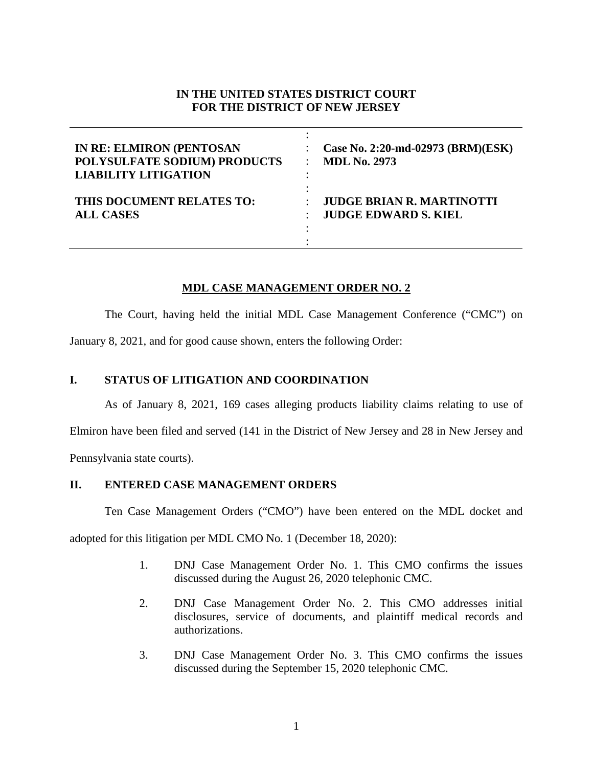# **IN THE UNITED STATES DISTRICT COURT FOR THE DISTRICT OF NEW JERSEY**

| <b>IN RE: ELMIRON (PENTOSAN</b><br>POLYSULFATE SODIUM) PRODUCTS<br><b>LIABILITY LITIGATION</b> | Case No. 2:20-md-02973 (BRM)(ESK)<br><b>MDL No. 2973</b> |
|------------------------------------------------------------------------------------------------|----------------------------------------------------------|
| THIS DOCUMENT RELATES TO:                                                                      | <b>JUDGE BRIAN R. MARTINOTTI</b>                         |
| <b>ALL CASES</b>                                                                               | <b>JUDGE EDWARD S. KIEL</b>                              |

## **MDL CASE MANAGEMENT ORDER NO. 2**

The Court, having held the initial MDL Case Management Conference ("CMC") on

January 8, 2021, and for good cause shown, enters the following Order:

#### **I. STATUS OF LITIGATION AND COORDINATION**

As of January 8, 2021, 169 cases alleging products liability claims relating to use of

Elmiron have been filed and served (141 in the District of New Jersey and 28 in New Jersey and

Pennsylvania state courts).

## **II. ENTERED CASE MANAGEMENT ORDERS**

Ten Case Management Orders ("CMO") have been entered on the MDL docket and

adopted for this litigation per MDL CMO No. 1 (December 18, 2020):

- 1. DNJ Case Management Order No. 1. This CMO confirms the issues discussed during the August 26, 2020 telephonic CMC.
- 2. DNJ Case Management Order No. 2. This CMO addresses initial disclosures, service of documents, and plaintiff medical records and authorizations.
- 3. DNJ Case Management Order No. 3. This CMO confirms the issues discussed during the September 15, 2020 telephonic CMC.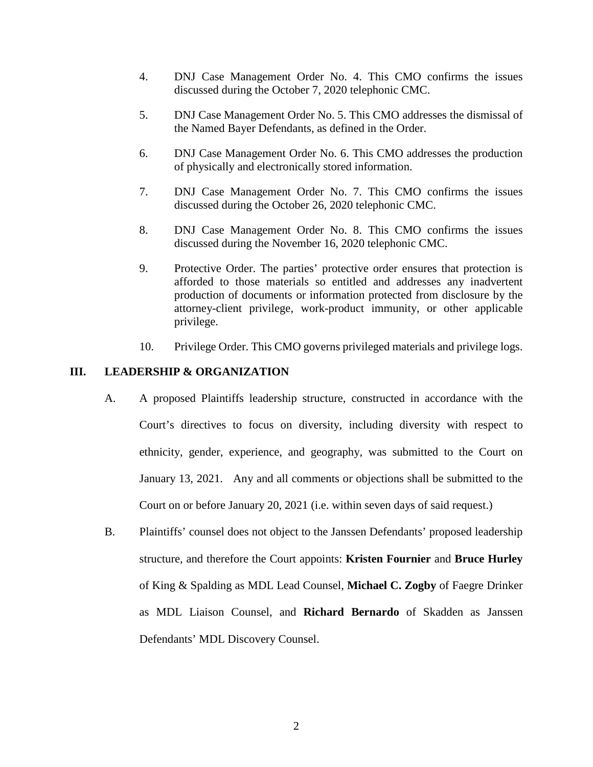- 4. DNJ Case Management Order No. 4. This CMO confirms the issues discussed during the October 7, 2020 telephonic CMC.
- 5. DNJ Case Management Order No. 5. This CMO addresses the dismissal of the Named Bayer Defendants, as defined in the Order.
- 6. DNJ Case Management Order No. 6. This CMO addresses the production of physically and electronically stored information.
- 7. DNJ Case Management Order No. 7. This CMO confirms the issues discussed during the October 26, 2020 telephonic CMC.
- 8. DNJ Case Management Order No. 8. This CMO confirms the issues discussed during the November 16, 2020 telephonic CMC.
- 9. Protective Order. The parties' protective order ensures that protection is afforded to those materials so entitled and addresses any inadvertent production of documents or information protected from disclosure by the attorney-client privilege, work-product immunity, or other applicable privilege.
- 10. Privilege Order. This CMO governs privileged materials and privilege logs.

#### **III. LEADERSHIP & ORGANIZATION**

- A. A proposed Plaintiffs leadership structure, constructed in accordance with the Court's directives to focus on diversity, including diversity with respect to ethnicity, gender, experience, and geography, was submitted to the Court on January 13, 2021. Any and all comments or objections shall be submitted to the Court on or before January 20, 2021 (i.e. within seven days of said request.)
- B. Plaintiffs' counsel does not object to the Janssen Defendants' proposed leadership structure, and therefore the Court appoints: **Kristen Fournier** and **Bruce Hurley**  of King & Spalding as MDL Lead Counsel, **Michael C. Zogby** of Faegre Drinker as MDL Liaison Counsel, and **Richard Bernardo** of Skadden as Janssen Defendants' MDL Discovery Counsel.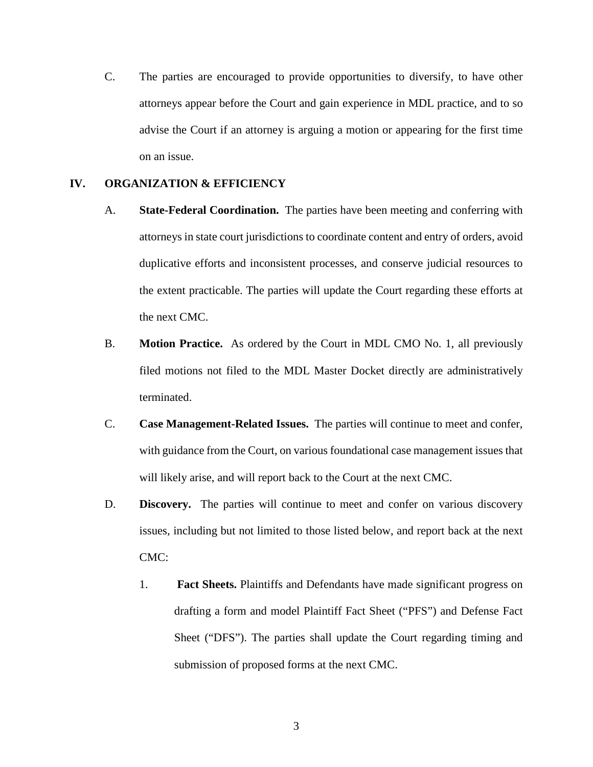C. The parties are encouraged to provide opportunities to diversify, to have other attorneys appear before the Court and gain experience in MDL practice, and to so advise the Court if an attorney is arguing a motion or appearing for the first time on an issue.

## **IV. ORGANIZATION & EFFICIENCY**

- A. **State-Federal Coordination.** The parties have been meeting and conferring with attorneys in state court jurisdictions to coordinate content and entry of orders, avoid duplicative efforts and inconsistent processes, and conserve judicial resources to the extent practicable. The parties will update the Court regarding these efforts at the next CMC.
- B. **Motion Practice.** As ordered by the Court in MDL CMO No. 1, all previously filed motions not filed to the MDL Master Docket directly are administratively terminated.
- C. **Case Management-Related Issues.** The parties will continue to meet and confer, with guidance from the Court, on various foundational case management issues that will likely arise, and will report back to the Court at the next CMC.
- D. **Discovery.** The parties will continue to meet and confer on various discovery issues, including but not limited to those listed below, and report back at the next CMC:
	- 1. **Fact Sheets.** Plaintiffs and Defendants have made significant progress on drafting a form and model Plaintiff Fact Sheet ("PFS") and Defense Fact Sheet ("DFS"). The parties shall update the Court regarding timing and submission of proposed forms at the next CMC.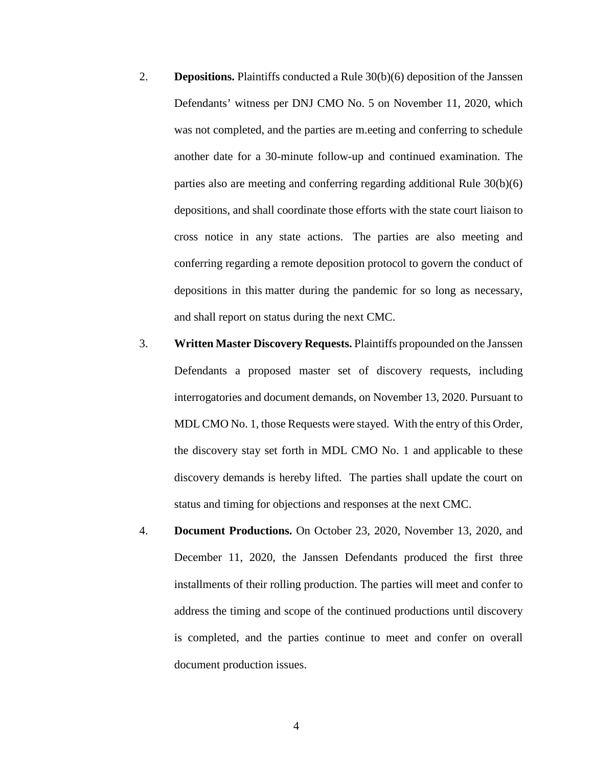- 2. **Depositions.** Plaintiffs conducted a Rule 30(b)(6) deposition of the Janssen Defendants' witness per DNJ CMO No. 5 on November 11, 2020, which was not completed, and the parties are m.eeting and conferring to schedule another date for a 30-minute follow-up and continued examination. The parties also are meeting and conferring regarding additional Rule 30(b)(6) depositions, and shall coordinate those efforts with the state court liaison to cross notice in any state actions. The parties are also meeting and conferring regarding a remote deposition protocol to govern the conduct of depositions in this matter during the pandemic for so long as necessary, and shall report on status during the next CMC.
- 3. **Written Master Discovery Requests.** Plaintiffs propounded on the Janssen Defendants a proposed master set of discovery requests, including interrogatories and document demands, on November 13, 2020. Pursuant to MDL CMO No. 1, those Requests were stayed. With the entry of this Order, the discovery stay set forth in MDL CMO No. 1 and applicable to these discovery demands is hereby lifted. The parties shall update the court on status and timing for objections and responses at the next CMC.
- 4. **Document Productions.** On October 23, 2020, November 13, 2020, and December 11, 2020, the Janssen Defendants produced the first three installments of their rolling production. The parties will meet and confer to address the timing and scope of the continued productions until discovery is completed, and the parties continue to meet and confer on overall document production issues.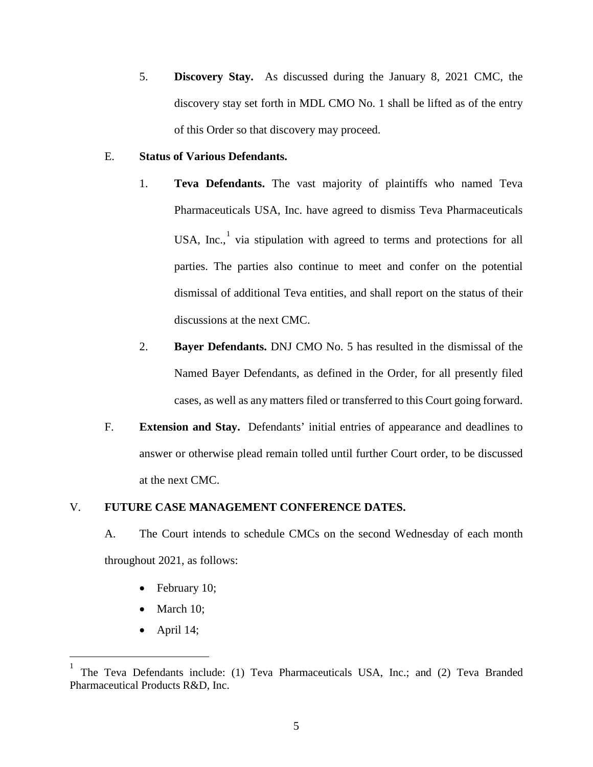5. **Discovery Stay.** As discussed during the January 8, 2021 CMC, the discovery stay set forth in MDL CMO No. 1 shall be lifted as of the entry of this Order so that discovery may proceed.

#### E. **Status of Various Defendants.**

- 1. **Teva Defendants.** The vast majority of plaintiffs who named Teva Pharmaceuticals USA, Inc. have agreed to dismiss Teva Pharmaceuticals USA, Inc., via stipulation with agreed to terms and protections for all parties. The parties also continue to meet and confer on the potential dismissal of additional Teva entities, and shall report on the status of their discussions at the next CMC.
- 2. **Bayer Defendants.** DNJ CMO No. 5 has resulted in the dismissal of the Named Bayer Defendants, as defined in the Order, for all presently filed cases, as well as any matters filed or transferred to this Court going forward.
- F. **Extension and Stay.** Defendants' initial entries of appearance and deadlines to answer or otherwise plead remain tolled until further Court order, to be discussed at the next CMC.

## V. **FUTURE CASE MANAGEMENT CONFERENCE DATES.**

- A. The Court intends to schedule CMCs on the second Wednesday of each month throughout 2021, as follows:
	- February 10;
	- March 10;
	- April 14;

<span id="page-4-0"></span> <sup>1</sup> The Teva Defendants include: (1) Teva Pharmaceuticals USA, Inc.; and (2) Teva Branded Pharmaceutical Products R&D, Inc.